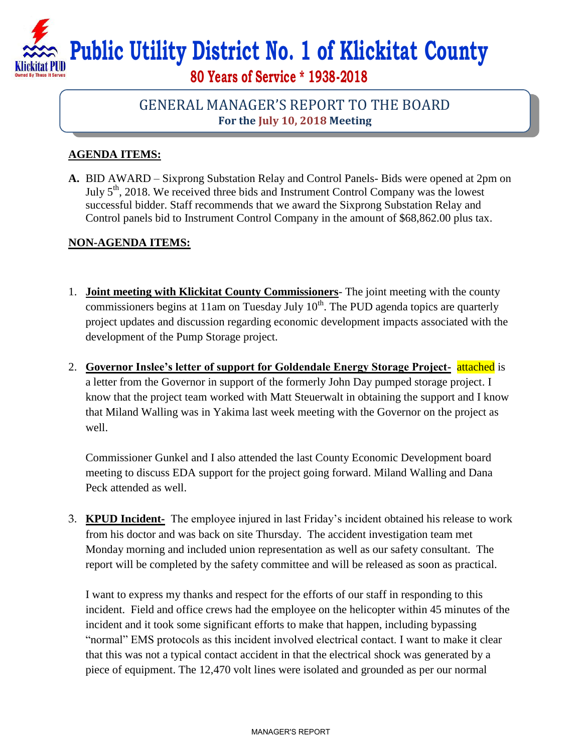# **Public Utility District No. 1 of Klickitat County**

**80 Years of Service \* 1938-2018**

## GENERAL MANAGER'S REPORT TO THE BOARD **For the July 10, 2018 Meeting**

### **AGENDA ITEMS:**

**A.** BID AWARD – Sixprong Substation Relay and Control Panels- Bids were opened at 2pm on July  $5<sup>th</sup>$ , 2018. We received three bids and Instrument Control Company was the lowest successful bidder. Staff recommends that we award the Sixprong Substation Relay and Control panels bid to Instrument Control Company in the amount of \$68,862.00 plus tax.

### **NON-AGENDA ITEMS:**

- 1. **Joint meeting with Klickitat County Commissioners** The joint meeting with the county commissioners begins at 11am on Tuesday July  $10^{th}$ . The PUD agenda topics are quarterly project updates and discussion regarding economic development impacts associated with the development of the Pump Storage project.
- 2. **Governor Inslee's letter of support for Goldendale Energy Storage Project-** attached is a letter from the Governor in support of the formerly John Day pumped storage project. I know that the project team worked with Matt Steuerwalt in obtaining the support and I know that Miland Walling was in Yakima last week meeting with the Governor on the project as well.

Commissioner Gunkel and I also attended the last County Economic Development board meeting to discuss EDA support for the project going forward. Miland Walling and Dana Peck attended as well.

3. **KPUD Incident-** The employee injured in last Friday's incident obtained his release to work from his doctor and was back on site Thursday. The accident investigation team met Monday morning and included union representation as well as our safety consultant. The report will be completed by the safety committee and will be released as soon as practical.

I want to express my thanks and respect for the efforts of our staff in responding to this incident. Field and office crews had the employee on the helicopter within 45 minutes of the incident and it took some significant efforts to make that happen, including bypassing "normal" EMS protocols as this incident involved electrical contact. I want to make it clear that this was not a typical contact accident in that the electrical shock was generated by a piece of equipment. The 12,470 volt lines were isolated and grounded as per our normal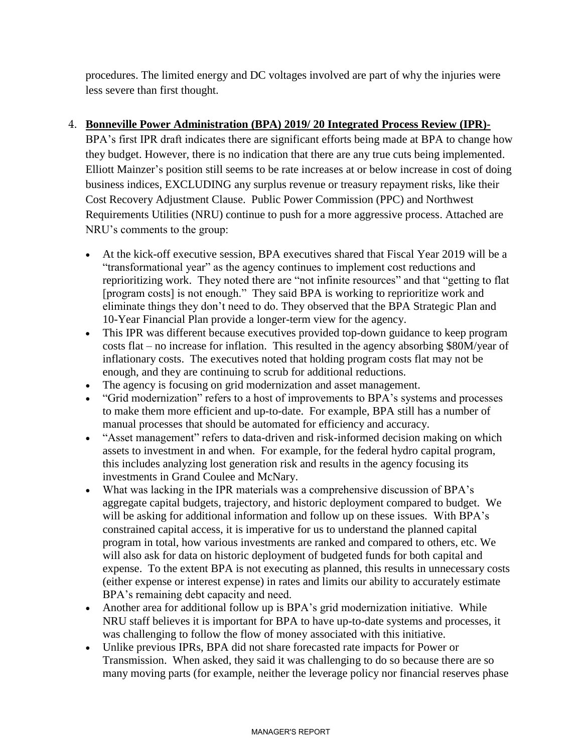procedures. The limited energy and DC voltages involved are part of why the injuries were less severe than first thought.

#### 4. **Bonneville Power Administration (BPA) 2019/ 20 Integrated Process Review (IPR)-**

BPA's first IPR draft indicates there are significant efforts being made at BPA to change how they budget. However, there is no indication that there are any true cuts being implemented. Elliott Mainzer's position still seems to be rate increases at or below increase in cost of doing business indices, EXCLUDING any surplus revenue or treasury repayment risks, like their Cost Recovery Adjustment Clause. Public Power Commission (PPC) and Northwest Requirements Utilities (NRU) continue to push for a more aggressive process. Attached are NRU's comments to the group:

- At the kick-off executive session, BPA executives shared that Fiscal Year 2019 will be a "transformational year" as the agency continues to implement cost reductions and reprioritizing work. They noted there are "not infinite resources" and that "getting to flat [program costs] is not enough." They said BPA is working to reprioritize work and eliminate things they don't need to do. They observed that the BPA Strategic Plan and 10-Year Financial Plan provide a longer-term view for the agency.
- This IPR was different because executives provided top-down guidance to keep program costs flat – no increase for inflation. This resulted in the agency absorbing \$80M/year of inflationary costs. The executives noted that holding program costs flat may not be enough, and they are continuing to scrub for additional reductions.
- The agency is focusing on grid modernization and asset management.
- "Grid modernization" refers to a host of improvements to BPA's systems and processes to make them more efficient and up-to-date. For example, BPA still has a number of manual processes that should be automated for efficiency and accuracy.
- "Asset management" refers to data-driven and risk-informed decision making on which assets to investment in and when. For example, for the federal hydro capital program, this includes analyzing lost generation risk and results in the agency focusing its investments in Grand Coulee and McNary.
- What was lacking in the IPR materials was a comprehensive discussion of BPA's aggregate capital budgets, trajectory, and historic deployment compared to budget. We will be asking for additional information and follow up on these issues. With BPA's constrained capital access, it is imperative for us to understand the planned capital program in total, how various investments are ranked and compared to others, etc. We will also ask for data on historic deployment of budgeted funds for both capital and expense. To the extent BPA is not executing as planned, this results in unnecessary costs (either expense or interest expense) in rates and limits our ability to accurately estimate BPA's remaining debt capacity and need.
- Another area for additional follow up is BPA's grid modernization initiative. While NRU staff believes it is important for BPA to have up-to-date systems and processes, it was challenging to follow the flow of money associated with this initiative.
- Unlike previous IPRs, BPA did not share forecasted rate impacts for Power or Transmission. When asked, they said it was challenging to do so because there are so many moving parts (for example, neither the leverage policy nor financial reserves phase